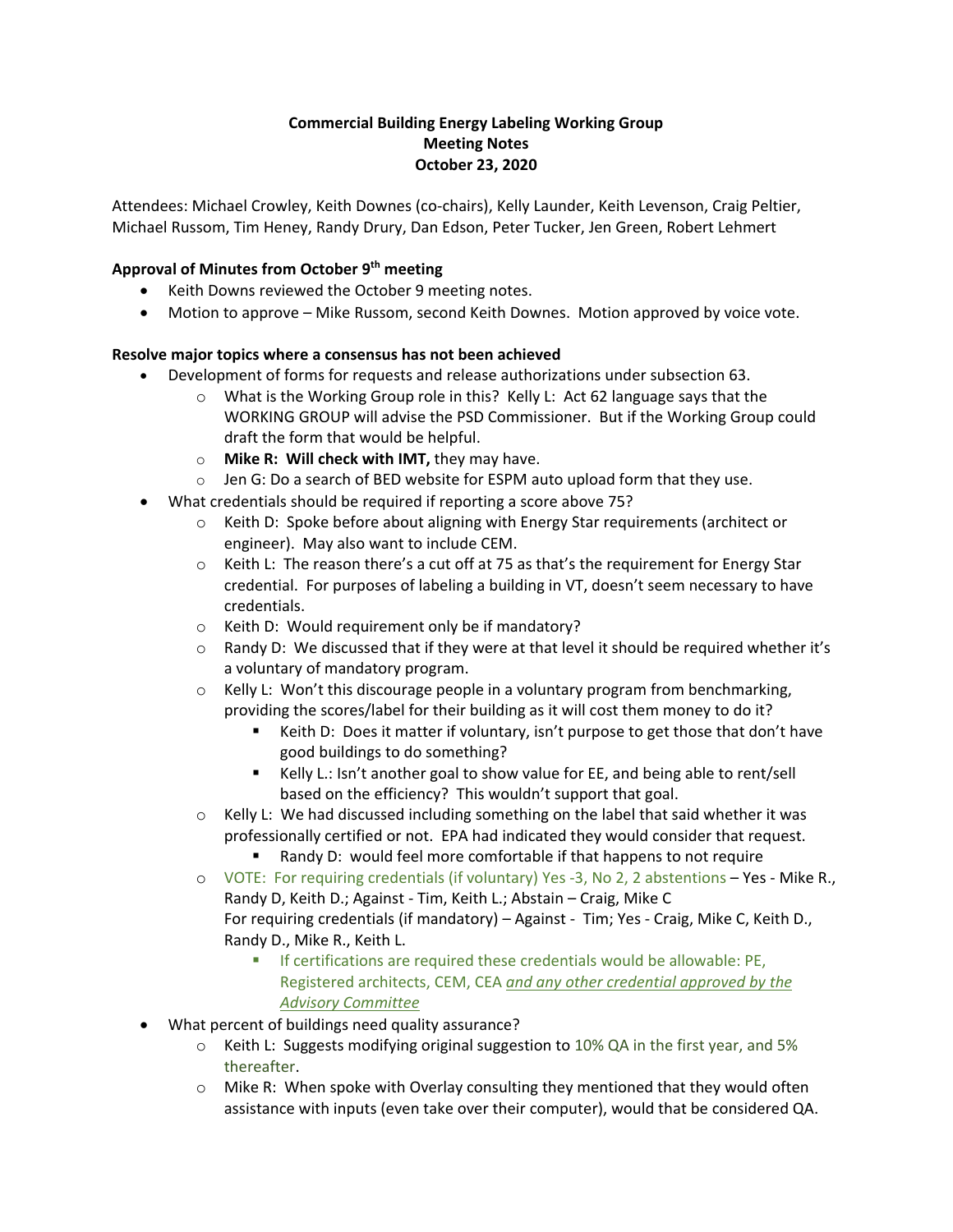## **Commercial Building Energy Labeling Working Group Meeting Notes October 23, 2020**

Attendees: Michael Crowley, Keith Downes (co-chairs), Kelly Launder, Keith Levenson, Craig Peltier, Michael Russom, Tim Heney, Randy Drury, Dan Edson, Peter Tucker, Jen Green, Robert Lehmert

## **Approval of Minutes from October 9th meeting**

- Keith Downs reviewed the October 9 meeting notes.
- Motion to approve Mike Russom, second Keith Downes. Motion approved by voice vote.

## **Resolve major topics where a consensus has not been achieved**

- Development of forms for requests and release authorizations under subsection 63.
	- $\circ$  What is the Working Group role in this? Kelly L: Act 62 language says that the WORKING GROUP will advise the PSD Commissioner. But if the Working Group could draft the form that would be helpful.
	- o **Mike R: Will check with IMT,** they may have.
	- o Jen G: Do a search of BED website for ESPM auto upload form that they use.
	- What credentials should be required if reporting a score above 75?
		- $\circ$  Keith D: Spoke before about aligning with Energy Star requirements (architect or engineer). May also want to include CEM.
		- $\circ$  Keith L: The reason there's a cut off at 75 as that's the requirement for Energy Star credential. For purposes of labeling a building in VT, doesn't seem necessary to have credentials.
		- o Keith D: Would requirement only be if mandatory?
		- $\circ$  Randy D: We discussed that if they were at that level it should be required whether it's a voluntary of mandatory program.
		- $\circ$  Kelly L: Won't this discourage people in a voluntary program from benchmarking, providing the scores/label for their building as it will cost them money to do it?
			- Keith D: Does it matter if voluntary, isn't purpose to get those that don't have good buildings to do something?
			- Kelly L.: Isn't another goal to show value for EE, and being able to rent/sell based on the efficiency? This wouldn't support that goal.
		- $\circ$  Kelly L: We had discussed including something on the label that said whether it was professionally certified or not. EPA had indicated they would consider that request.
			- Randy D: would feel more comfortable if that happens to not require
		- $\circ$  VOTE: For requiring credentials (if voluntary) Yes -3, No 2, 2 abstentions  $-$  Yes Mike R., Randy D, Keith D.; Against - Tim, Keith L.; Abstain – Craig, Mike C For requiring credentials (if mandatory) – Against - Tim; Yes - Craig, Mike C, Keith D., Randy D., Mike R., Keith L.
			- If certifications are required these credentials would be allowable: PE, Registered architects, CEM, CEA *and any other credential approved by the Advisory Committee*
- What percent of buildings need quality assurance?
	- $\circ$  Keith L: Suggests modifying original suggestion to 10% QA in the first year, and 5% thereafter.
	- $\circ$  Mike R: When spoke with Overlay consulting they mentioned that they would often assistance with inputs (even take over their computer), would that be considered QA.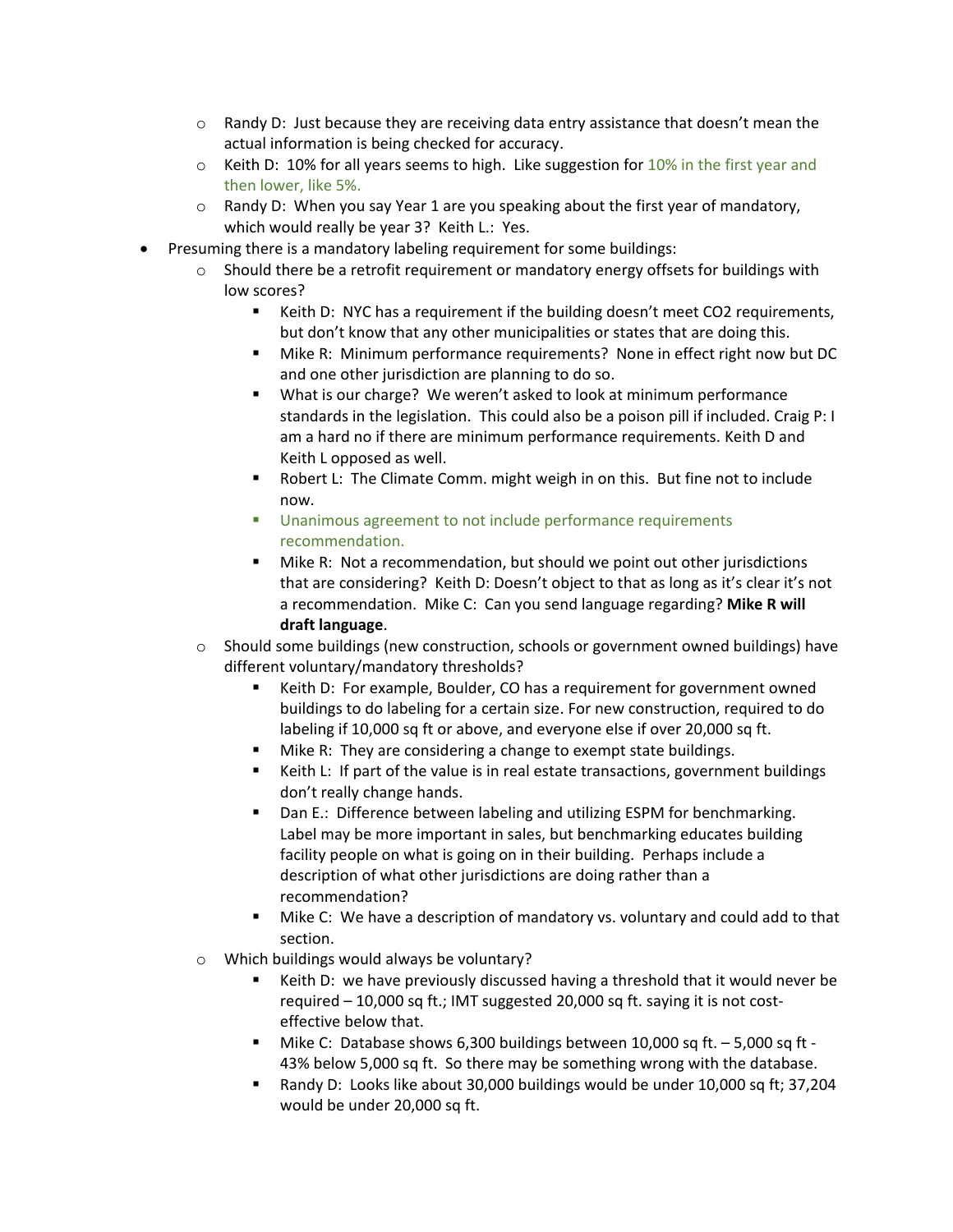- $\circ$  Randy D: Just because they are receiving data entry assistance that doesn't mean the actual information is being checked for accuracy.
- $\circ$  Keith D: 10% for all years seems to high. Like suggestion for 10% in the first year and then lower, like 5%.
- $\circ$  Randy D: When you say Year 1 are you speaking about the first year of mandatory, which would really be year 3? Keith L.: Yes.
- Presuming there is a mandatory labeling requirement for some buildings:
	- $\circ$  Should there be a retrofit requirement or mandatory energy offsets for buildings with low scores?
		- Keith D: NYC has a requirement if the building doesn't meet CO2 requirements, but don't know that any other municipalities or states that are doing this.
		- Mike R: Minimum performance requirements? None in effect right now but DC and one other jurisdiction are planning to do so.
		- What is our charge? We weren't asked to look at minimum performance standards in the legislation. This could also be a poison pill if included. Craig P: I am a hard no if there are minimum performance requirements. Keith D and Keith L opposed as well.
		- Robert L: The Climate Comm. might weigh in on this. But fine not to include now.
		- Unanimous agreement to not include performance requirements recommendation.
		- Mike R: Not a recommendation, but should we point out other jurisdictions that are considering? Keith D: Doesn't object to that as long as it's clear it's not a recommendation. Mike C: Can you send language regarding? **Mike R will draft language**.
	- $\circ$  Should some buildings (new construction, schools or government owned buildings) have different voluntary/mandatory thresholds?
		- Keith D: For example, Boulder, CO has a requirement for government owned buildings to do labeling for a certain size. For new construction, required to do labeling if 10,000 sq ft or above, and everyone else if over 20,000 sq ft.
		- Mike R: They are considering a change to exempt state buildings.
		- Keith L: If part of the value is in real estate transactions, government buildings don't really change hands.
		- Dan E.: Difference between labeling and utilizing ESPM for benchmarking. Label may be more important in sales, but benchmarking educates building facility people on what is going on in their building. Perhaps include a description of what other jurisdictions are doing rather than a recommendation?
		- Mike C: We have a description of mandatory vs. voluntary and could add to that section.
	- o Which buildings would always be voluntary?
		- Keith D: we have previously discussed having a threshold that it would never be required – 10,000 sq ft.; IMT suggested 20,000 sq ft. saying it is not costeffective below that.
		- Mike C: Database shows 6,300 buildings between 10,000 sq ft. 5,000 sq ft -43% below 5,000 sq ft. So there may be something wrong with the database.
		- Randy D: Looks like about 30,000 buildings would be under 10,000 sq ft; 37,204 would be under 20,000 sq ft.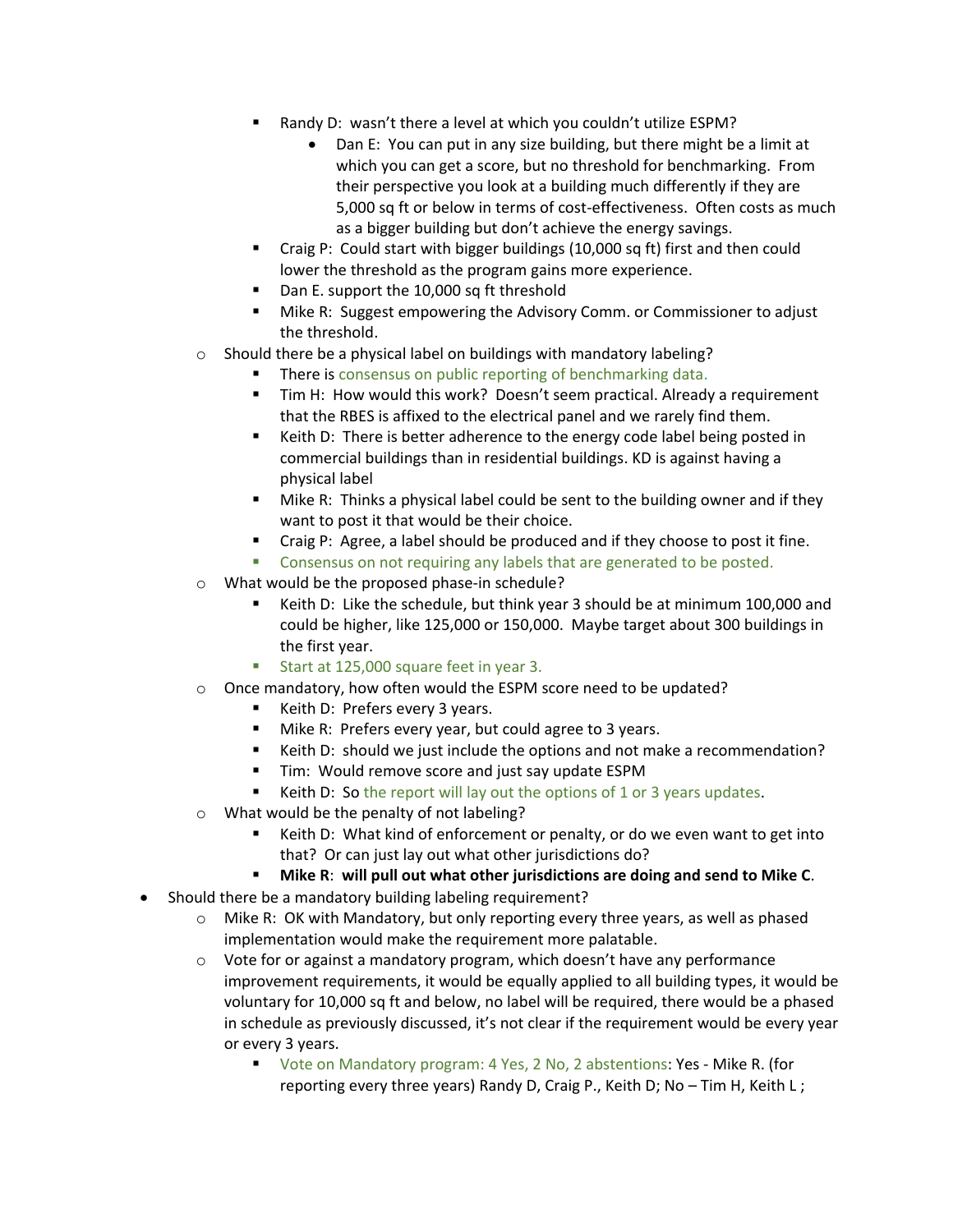- Randy D: wasn't there a level at which you couldn't utilize ESPM?
	- Dan E: You can put in any size building, but there might be a limit at which you can get a score, but no threshold for benchmarking. From their perspective you look at a building much differently if they are 5,000 sq ft or below in terms of cost-effectiveness. Often costs as much as a bigger building but don't achieve the energy savings.
- Craig P: Could start with bigger buildings (10,000 sq ft) first and then could lower the threshold as the program gains more experience.
- Dan E. support the 10,000 sq ft threshold
- Mike R: Suggest empowering the Advisory Comm. or Commissioner to adjust the threshold.
- o Should there be a physical label on buildings with mandatory labeling?
	- There is consensus on public reporting of benchmarking data.
	- Tim H: How would this work? Doesn't seem practical. Already a requirement that the RBES is affixed to the electrical panel and we rarely find them.
	- Keith D: There is better adherence to the energy code label being posted in commercial buildings than in residential buildings. KD is against having a physical label
	- Mike R: Thinks a physical label could be sent to the building owner and if they want to post it that would be their choice.
	- Craig P: Agree, a label should be produced and if they choose to post it fine.
	- Consensus on not requiring any labels that are generated to be posted.
- o What would be the proposed phase-in schedule?
	- Keith D: Like the schedule, but think year 3 should be at minimum 100,000 and could be higher, like 125,000 or 150,000. Maybe target about 300 buildings in the first year.
	- Start at 125,000 square feet in year 3.
- o Once mandatory, how often would the ESPM score need to be updated?
	- Keith D: Prefers every 3 years.
	- Mike R: Prefers every year, but could agree to 3 years.
	- Keith D: should we just include the options and not make a recommendation?
	- Tim: Would remove score and just say update ESPM
	- Keith D: So the report will lay out the options of 1 or 3 years updates.
- o What would be the penalty of not labeling?
	- Keith D: What kind of enforcement or penalty, or do we even want to get into that? Or can just lay out what other jurisdictions do?
	- **Mike R**: **will pull out what other jurisdictions are doing and send to Mike C**.
- Should there be a mandatory building labeling requirement?
	- $\circ$  Mike R: OK with Mandatory, but only reporting every three years, as well as phased implementation would make the requirement more palatable.
	- $\circ$  Vote for or against a mandatory program, which doesn't have any performance improvement requirements, it would be equally applied to all building types, it would be voluntary for 10,000 sq ft and below, no label will be required, there would be a phased in schedule as previously discussed, it's not clear if the requirement would be every year or every 3 years.
		- Vote on Mandatory program: 4 Yes, 2 No, 2 abstentions: Yes Mike R. (for reporting every three years) Randy D, Craig P., Keith D; No – Tim H, Keith L ;